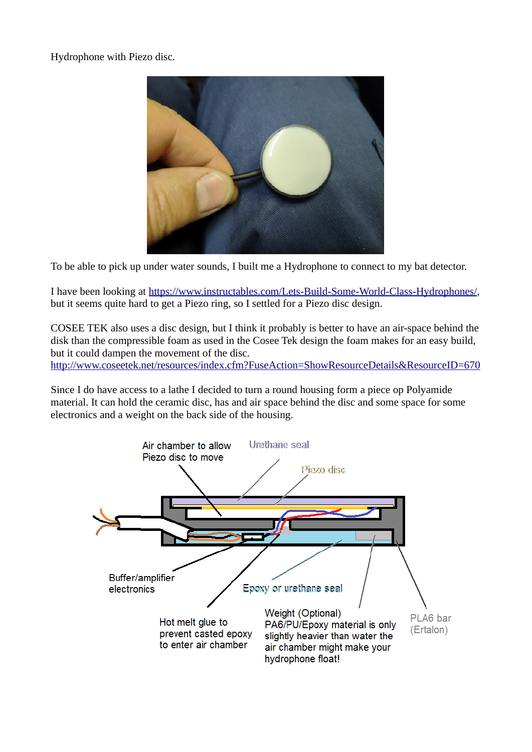Hydrophone with Piezo disc.



To be able to pick up under water sounds, I built me a Hydrophone to connect to my bat detector.

I have been looking at<https://www.instructables.com/Lets-Build-Some-World-Class-Hydrophones/>, but it seems quite hard to get a Piezo ring, so I settled for a Piezo disc design.

COSEE TEK also uses a disc design, but I think it probably is better to have an air-space behind the disk than the compressible foam as used in the Cosee Tek design the foam makes for an easy build, but it could dampen the movement of the disc. <http://www.coseetek.net/resources/index.cfm?FuseAction=ShowResourceDetails&ResourceID=670>

Since I do have access to a lathe I decided to turn a round housing form a piece op Polyamide material. It can hold the ceramic disc, has and air space behind the disc and some space for some electronics and a weight on the back side of the housing.

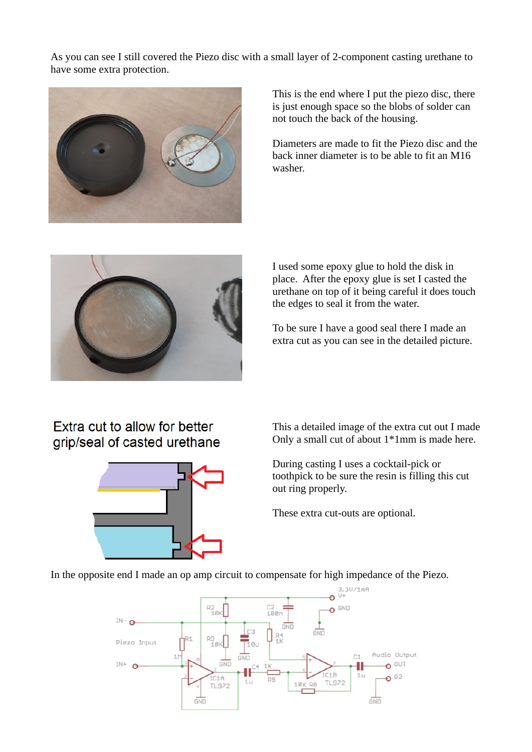As you can see I still covered the Piezo disc with a small layer of 2-component casting urethane to have some extra protection.



This is the end where I put the piezo disc, there is just enough space so the blobs of solder can not touch the back of the housing.

Diameters are made to fit the Piezo disc and the back inner diameter is to be able to fit an M16 washer.



I used some epoxy glue to hold the disk in place. After the epoxy glue is set I casted the urethane on top of it being careful it does touch the edges to seal it from the water.

To be sure I have a good seal there I made an extra cut as you can see in the detailed picture.

## Extra cut to allow for better grip/seal of casted urethane



This a detailed image of the extra cut out I made Only a small cut of about 1\*1mm is made here.

During casting I uses a cocktail-pick or toothpick to be sure the resin is filling this cut out ring properly.

These extra cut-outs are optional.